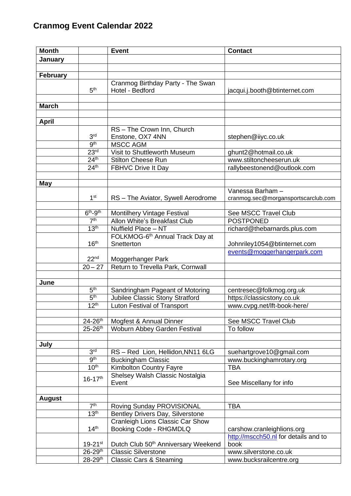| <b>Month</b>    |                                    | <b>Event</b>                                    | <b>Contact</b>                       |
|-----------------|------------------------------------|-------------------------------------------------|--------------------------------------|
| January         |                                    |                                                 |                                      |
|                 |                                    |                                                 |                                      |
| <b>February</b> |                                    |                                                 |                                      |
|                 |                                    | Cranmog Birthday Party - The Swan               |                                      |
|                 | 5 <sup>th</sup>                    | Hotel - Bedford                                 | jacqui.j.booth@btinternet.com        |
|                 |                                    |                                                 |                                      |
| <b>March</b>    |                                    |                                                 |                                      |
|                 |                                    |                                                 |                                      |
| <b>April</b>    |                                    |                                                 |                                      |
|                 |                                    | RS-The Crown Inn, Church                        |                                      |
|                 | 3 <sup>rd</sup><br>9 <sup>th</sup> | Enstone, OX7 4NN                                | stephen@iiyc.co.uk                   |
|                 |                                    | <b>MSCC AGM</b>                                 |                                      |
|                 | 23 <sup>rd</sup>                   | Visit to Shuttleworth Museum                    | ghunt2@hotmail.co.uk                 |
|                 | 24 <sup>th</sup>                   | <b>Stilton Cheese Run</b>                       | www.stiltoncheeserun.uk              |
|                 | 24 <sup>th</sup>                   | FBHVC Drive It Day                              | rallybeestonend@outlook.com          |
|                 |                                    |                                                 |                                      |
| <b>May</b>      |                                    |                                                 | Vanessa Barham -                     |
|                 | 1 <sup>st</sup>                    | RS - The Aviator, Sywell Aerodrome              | cranmog.sec@morgansportscarclub.com  |
|                 |                                    |                                                 |                                      |
|                 | $6th-9th$                          | Montilhery Vintage Festival                     | See MSCC Travel Club                 |
|                 | 7 <sup>th</sup>                    | Allon White's Breakfast Club                    | <b>POSTPONED</b>                     |
|                 | 13 <sup>th</sup>                   | Nuffield Place - NT                             | richard@thebarnards.plus.com         |
|                 |                                    | FOLKMOG-6 <sup>th</sup> Annual Track Day at     |                                      |
|                 | 16 <sup>th</sup>                   | Snetterton                                      | Johnriley1054@btinternet.com         |
|                 |                                    |                                                 | events@moggerhangerpark.com          |
|                 | 22 <sup>nd</sup>                   | Moggerhanger Park                               |                                      |
|                 | $20 - 27$                          | Return to Trevella Park, Cornwall               |                                      |
|                 |                                    |                                                 |                                      |
| June            |                                    |                                                 |                                      |
|                 | 5 <sup>th</sup>                    | Sandringham Pageant of Motoring                 | centresec@folkmog.org.uk             |
|                 | 5 <sup>th</sup>                    | Jubilee Classic Stony Stratford                 | https://classicstony.co.uk           |
|                 | 12 <sup>th</sup>                   | <b>Luton Festival of Transport</b>              | www.cvpg.net/lft-book-here/          |
|                 |                                    |                                                 |                                      |
|                 | $24 - 26$ <sup>th</sup>            | Mogfest & Annual Dinner                         | See MSCC Travel Club                 |
|                 | $25 - 26$ <sup>th</sup>            | Woburn Abbey Garden Festival                    | To follow                            |
|                 |                                    |                                                 |                                      |
| July            |                                    |                                                 |                                      |
|                 | 3 <sup>rd</sup>                    | RS-Red Lion, Hellidon, NN11 6LG                 | suehartgrove10@gmail.com             |
|                 | 9 <sup>th</sup>                    | <b>Buckingham Classic</b>                       | www.buckinghamrotary.org             |
|                 | 10 <sup>th</sup>                   | <b>Kimbolton Country Fayre</b>                  | <b>TBA</b>                           |
|                 | $16 - 17$ <sup>th</sup>            | Shelsey Walsh Classic Nostalgia                 |                                      |
|                 |                                    | Event                                           | See Miscellany for info              |
|                 |                                    |                                                 |                                      |
| <b>August</b>   |                                    |                                                 |                                      |
|                 | 7 <sup>th</sup>                    | Roving Sunday PROVISIONAL                       | <b>TBA</b>                           |
|                 | 13 <sup>th</sup>                   | Bentley Drivers Day, Silverstone                |                                      |
|                 |                                    | Cranleigh Lions Classic Car Show                |                                      |
|                 | 14 <sup>th</sup>                   | Booking Code - RHGMDLQ                          | carshow.cranleighlions.org           |
|                 |                                    |                                                 | http://mscch50.nl for details and to |
|                 | $19 - 21$ <sup>st</sup>            | Dutch Club 50 <sup>th</sup> Anniversary Weekend | book                                 |
|                 | $26 - 29$ <sup>th</sup>            | <b>Classic Silverstone</b>                      | www.silverstone.co.uk                |
|                 | 28-29th                            | <b>Classic Cars &amp; Steaming</b>              | www.bucksrailcentre.org              |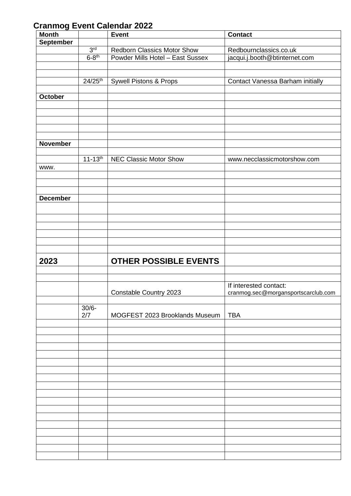| <b>Month</b>     |                     | <b>Event</b>                       | <b>Contact</b>                      |
|------------------|---------------------|------------------------------------|-------------------------------------|
| <b>September</b> |                     |                                    |                                     |
|                  | 3 <sup>rd</sup>     | <b>Redborn Classics Motor Show</b> | Redbournclassics.co.uk              |
|                  | $6-8$ <sup>th</sup> | Powder Mills Hotel - East Sussex   | jacqui.j.booth@btinternet.com       |
|                  |                     |                                    |                                     |
|                  |                     |                                    |                                     |
|                  |                     |                                    |                                     |
|                  | $24/25^{th}$        | <b>Sywell Pistons &amp; Props</b>  | Contact Vanessa Barham initially    |
|                  |                     |                                    |                                     |
| October          |                     |                                    |                                     |
|                  |                     |                                    |                                     |
|                  |                     |                                    |                                     |
|                  |                     |                                    |                                     |
|                  |                     |                                    |                                     |
|                  |                     |                                    |                                     |
| <b>November</b>  |                     |                                    |                                     |
|                  |                     |                                    |                                     |
|                  |                     |                                    |                                     |
|                  | $11 - 13^{th}$      | <b>NEC Classic Motor Show</b>      | www.necclassicmotorshow.com         |
| www.             |                     |                                    |                                     |
|                  |                     |                                    |                                     |
|                  |                     |                                    |                                     |
|                  |                     |                                    |                                     |
| <b>December</b>  |                     |                                    |                                     |
|                  |                     |                                    |                                     |
|                  |                     |                                    |                                     |
|                  |                     |                                    |                                     |
|                  |                     |                                    |                                     |
|                  |                     |                                    |                                     |
|                  |                     |                                    |                                     |
|                  |                     |                                    |                                     |
|                  |                     |                                    |                                     |
| 2023             |                     | <b>OTHER POSSIBLE EVENTS</b>       |                                     |
|                  |                     |                                    |                                     |
|                  |                     |                                    |                                     |
|                  |                     |                                    | If interested contact:              |
|                  |                     | Constable Country 2023             | cranmog.sec@morgansportscarclub.com |
|                  |                     |                                    |                                     |
|                  | $30/6 -$            |                                    |                                     |
|                  | 2/7                 | MOGFEST 2023 Brooklands Museum     | <b>TBA</b>                          |
|                  |                     |                                    |                                     |
|                  |                     |                                    |                                     |
|                  |                     |                                    |                                     |
|                  |                     |                                    |                                     |
|                  |                     |                                    |                                     |
|                  |                     |                                    |                                     |
|                  |                     |                                    |                                     |
|                  |                     |                                    |                                     |
|                  |                     |                                    |                                     |
|                  |                     |                                    |                                     |
|                  |                     |                                    |                                     |
|                  |                     |                                    |                                     |
|                  |                     |                                    |                                     |
|                  |                     |                                    |                                     |
|                  |                     |                                    |                                     |
|                  |                     |                                    |                                     |
|                  |                     |                                    |                                     |
|                  |                     |                                    |                                     |
|                  |                     |                                    |                                     |
|                  |                     |                                    |                                     |